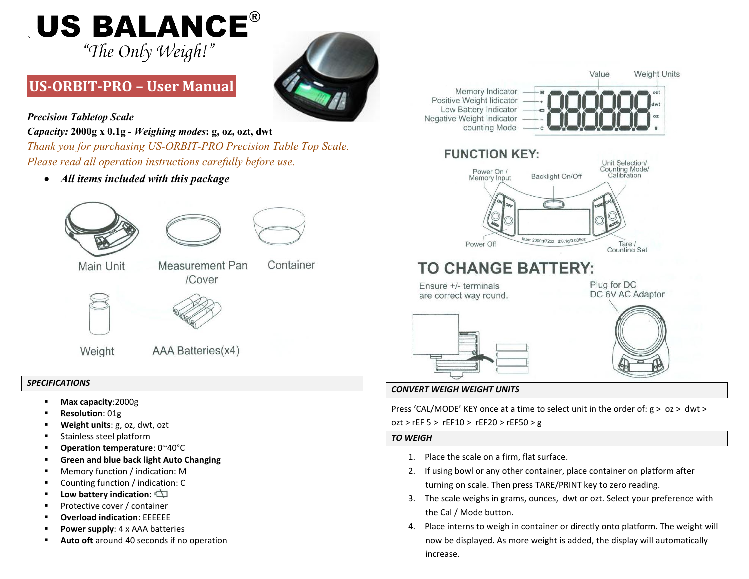# **US BALANCE®** "The Only Weigh!"

# **US-ORBIT-PRO – User Manual**



*Precision Tabletop Scale*

*`*

*Capacity:* **2000g x 0.1g -** *Weighing modes***: g, oz, ozt, dwt** 

*Thank you for purchasing US-ORBIT-PRO Precision Table Top Scale. Please read all operation instructions carefully before use.*

*All items included with this package*





/Cover

Main Unit

Measurement Pan Container



Weight

AAA Batteries(x4)

# *SPECIFICATIONS*

- **Max capacity**:2000g
- **Resolution**: 01g
- **Weight units**: g, oz, dwt, ozt
- Stainless steel platform
- **Operation temperature**: 0~40°C
- **Green and blue back light Auto Changing**
- Memory function / indication: M
- Counting function / indication: C
- **Low battery indication:**
- Protective cover / container
- **Overload indication**: EEEEEE
- **Power supply:** 4 x AAA batteries
- **Auto oft** around 40 seconds if no operation



# *CONVERT WEIGH WEIGHT UNITS*

Press 'CAL/MODE' KEY once at a time to select unit in the order of:  $g > oz > dwt >$ ozt > rEF 5 > rEF10 > rEF20 > rEF50 > g

# *TO WEIGH*

- 1. Place the scale on a firm, flat surface.
- 2. If using bowl or any other container, place container on platform after turning on scale. Then press TARE/PRINT key to zero reading.
- 3. The scale weighs in grams, ounces, dwt or ozt. Select your preference with the Cal / Mode button.
- 4. Place interns to weigh in container or directly onto platform. The weight will now be displayed. As more weight is added, the display will automatically increase.